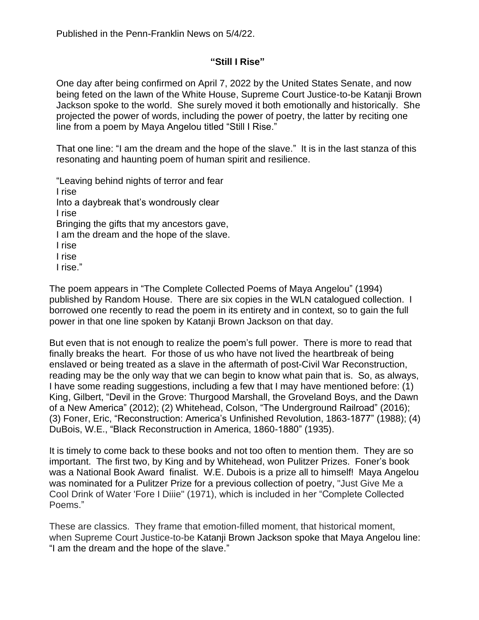## **"Still I Rise"**

One day after being confirmed on April 7, 2022 by the United States Senate, and now being feted on the lawn of the White House, Supreme Court Justice-to-be Katanji Brown Jackson spoke to the world. She surely moved it both emotionally and historically. She projected the power of words, including the power of poetry, the latter by reciting one line from a poem by Maya Angelou titled "Still I Rise."

That one line: "I am the dream and the hope of the slave." It is in the last stanza of this resonating and haunting poem of human spirit and resilience.

"Leaving behind nights of terror and fear I rise Into a daybreak that's wondrously clear I rise Bringing the gifts that my ancestors gave, I am the dream and the hope of the slave. I rise I rise I rise."

The poem appears in "The Complete Collected Poems of Maya Angelou" (1994) published by Random House. There are six copies in the WLN catalogued collection. I borrowed one recently to read the poem in its entirety and in context, so to gain the full power in that one line spoken by Katanji Brown Jackson on that day.

But even that is not enough to realize the poem's full power. There is more to read that finally breaks the heart. For those of us who have not lived the heartbreak of being enslaved or being treated as a slave in the aftermath of post-Civil War Reconstruction, reading may be the only way that we can begin to know what pain that is. So, as always, I have some reading suggestions, including a few that I may have mentioned before: (1) King, Gilbert, "Devil in the Grove: Thurgood Marshall, the Groveland Boys, and the Dawn of a New America" (2012); (2) Whitehead, Colson, "The Underground Railroad" (2016); (3) Foner, Eric, "Reconstruction: America's Unfinished Revolution, 1863-1877" (1988); (4) DuBois, W.E., "Black Reconstruction in America, 1860-1880" (1935).

It is timely to come back to these books and not too often to mention them. They are so important. The first two, by King and by Whitehead, won Pulitzer Prizes. Foner's book was a National Book Award finalist. W.E. Dubois is a prize all to himself! Maya Angelou was nominated for a Pulitzer Prize for a previous collection of poetry, "Just Give Me a Cool Drink of Water 'Fore I Diiie" (1971), which is included in her "Complete Collected Poems."

These are classics. They frame that emotion-filled moment, that historical moment, when Supreme Court Justice-to-be Katanji Brown Jackson spoke that Maya Angelou line: "I am the dream and the hope of the slave."